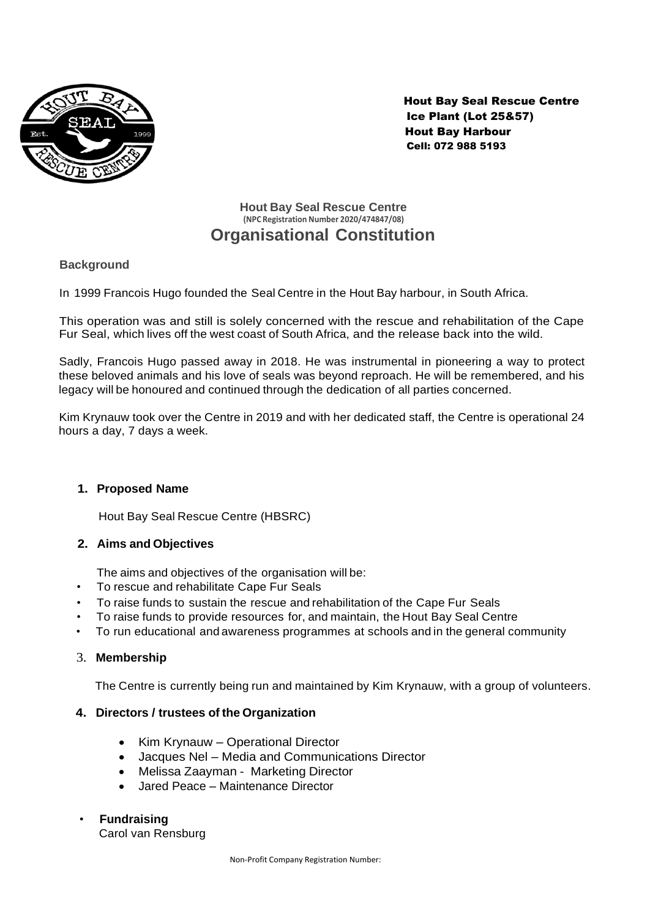

 Hout Bay Seal Rescue Centre Ice Plant (Lot 25&57) Hout Bay Harbour Cell: 072 988 5193

# **Hout Bay Seal Rescue Centre (NPC Registration Number 2020/474847/08) Organisational Constitution**

# **Background**

In 1999 Francois Hugo founded the Seal Centre in the Hout Bay harbour, in South Africa.

This operation was and still is solely concerned with the rescue and rehabilitation of the Cape Fur Seal, which lives off the west coast of South Africa, and the release back into the wild.

Sadly, Francois Hugo passed away in 2018. He was instrumental in pioneering a way to protect these beloved animals and his love of seals was beyond reproach. He will be remembered, and his legacy will be honoured and continued through the dedication of all parties concerned.

Kim Krynauw took over the Centre in 2019 and with her dedicated staff, the Centre is operational 24 hours a day, 7 days a week.

## **1. Proposed Name**

Hout Bay Seal Rescue Centre (HBSRC)

## **2. Aims and Objectives**

The aims and objectives of the organisation will be:

- To rescue and rehabilitate Cape Fur Seals
- To raise funds to sustain the rescue and rehabilitation of the Cape Fur Seals
- To raise funds to provide resources for, and maintain, the Hout Bay Seal Centre
- To run educational and awareness programmes at schools and in the general community

## 3. **Membership**

The Centre is currently being run and maintained by Kim Krynauw, with a group of volunteers.

### **4. Directors / trustees of the Organization**

- Kim Krynauw Operational Director
- Jacques Nel Media and Communications Director
- Melissa Zaayman Marketing Director
- Jared Peace Maintenance Director

### • **Fundraising**

Carol van Rensburg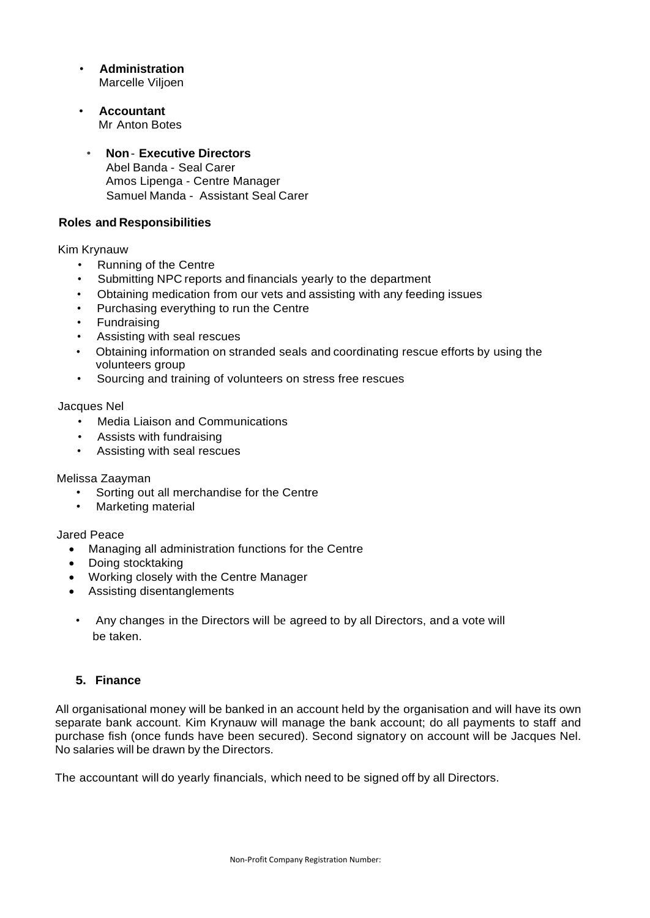- **Administration**  Marcelle Viljoen
- **Accountant** Mr Anton Botes
- **Non Executive Directors** Abel Banda - Seal Carer Amos Lipenga - Centre Manager Samuel Manda - Assistant Seal Carer

## **Roles and Responsibilities**

### Kim Krynauw

- Running of the Centre
- Submitting NPC reports and financials yearly to the department
- Obtaining medication from our vets and assisting with any feeding issues
- Purchasing everything to run the Centre
- **Fundraising**
- Assisting with seal rescues
- Obtaining information on stranded seals and coordinating rescue efforts by using the volunteers group
- Sourcing and training of volunteers on stress free rescues

#### Jacques Nel

- Media Liaison and Communications
- Assists with fundraising
- Assisting with seal rescues

### Melissa Zaayman

- Sorting out all merchandise for the Centre
- Marketing material

### Jared Peace

- Managing all administration functions for the Centre
- Doing stocktaking
- Working closely with the Centre Manager
- Assisting disentanglements
- Any changes in the Directors will be agreed to by all Directors, and a vote will be taken.

# **5. Finance**

All organisational money will be banked in an account held by the organisation and will have its own separate bank account. Kim Krynauw will manage the bank account; do all payments to staff and purchase fish (once funds have been secured). Second signatory on account will be Jacques Nel. No salaries will be drawn by the Directors.

The accountant will do yearly financials, which need to be signed off by all Directors.